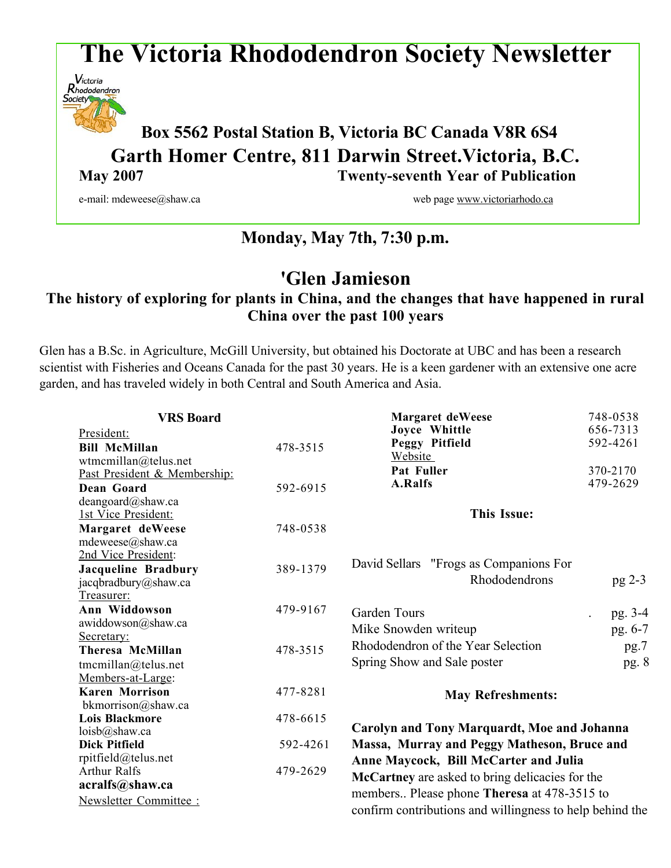# **The Victoria Rhododendron Society Newsletter**



# **Box <sup>5562</sup> Postal Station B, Victoria BC Canada V8R 6S4 Garth Homer Centre, 811 Darwin Street.Victoria, B.C. May 2007 Twenty-seventh Year of Publication**

e-mail: mdeweese@shaw.ca web page www.victoriarhodo.ca web page www.victoriarhodo.ca

# **Monday, May 7th, 7:30 p.m.**

# **'Glen Jamieson**

# **The history of exploring for plants in China, and the changes that have happened in rural China over the past 100 years**

Glen has a B.Sc. in Agriculture, McGill University, but obtained his Doctorate at UBC and has been a research scientist with Fisheries and Oceans Canada for the past 30 years. He is a keen gardener with an extensive one acre garden, and has traveled widely in both Central and South America and Asia.

| <b>VRS</b> Board                           |          | <b>Margaret deWeese</b>                                                                  | 748-0538 |  |
|--------------------------------------------|----------|------------------------------------------------------------------------------------------|----------|--|
| President:                                 |          | Joyce Whittle                                                                            | 656-7313 |  |
| <b>Bill McMillan</b>                       | 478-3515 | Peggy Pitfield                                                                           | 592-4261 |  |
| wtmcmillan@telus.net                       |          | Website                                                                                  |          |  |
| Past President & Membership:               |          | Pat Fuller                                                                               | 370-2170 |  |
| Dean Goard                                 | 592-6915 | A.Ralfs                                                                                  | 479-2629 |  |
| deangoard@shaw.ca                          |          |                                                                                          |          |  |
| 1st Vice President:                        |          | <b>This Issue:</b>                                                                       |          |  |
| Margaret deWeese                           | 748-0538 |                                                                                          |          |  |
| mdeweese@shaw.ca                           |          |                                                                                          |          |  |
| 2nd Vice President:                        |          |                                                                                          |          |  |
| Jacqueline Bradbury                        | 389-1379 | David Sellars "Frogs as Companions For                                                   |          |  |
| jacqbradbury@shaw.ca                       |          | Rhododendrons                                                                            | pg 2-3   |  |
| Treasurer:                                 |          |                                                                                          |          |  |
| Ann Widdowson                              | 479-9167 | Garden Tours                                                                             | pg. 3-4  |  |
| awiddowson@shaw.ca                         |          | Mike Snowden writeup                                                                     | pg. 6-7  |  |
| Secretary:                                 |          | Rhododendron of the Year Selection                                                       | pg.7     |  |
| Theresa McMillan                           | 478-3515 |                                                                                          |          |  |
| tmcmillan@telus.net                        |          | Spring Show and Sale poster                                                              | pg. 8    |  |
| Members-at-Large:                          |          |                                                                                          |          |  |
| <b>Karen Morrison</b>                      | 477-8281 | <b>May Refreshments:</b>                                                                 |          |  |
| bkmorrison@shaw.ca                         |          |                                                                                          |          |  |
| <b>Lois Blackmore</b>                      | 478-6615 | <b>Carolyn and Tony Marquardt, Moe and Johanna</b>                                       |          |  |
| loisb@shaw.ca                              |          |                                                                                          |          |  |
| <b>Dick Pitfield</b>                       | 592-4261 | Massa, Murray and Peggy Matheson, Bruce and                                              |          |  |
| rpitfield@telus.net<br><b>Arthur Ralfs</b> | 479-2629 | Anne Maycock, Bill McCarter and Julia<br>McCartney are asked to bring delicacies for the |          |  |
|                                            |          |                                                                                          |          |  |
| acralfs@shaw.ca                            |          | members Please phone <b>Theresa</b> at 478-3515 to                                       |          |  |
| Newsletter Committee :                     |          | confirm contributions and willingness to help behind the                                 |          |  |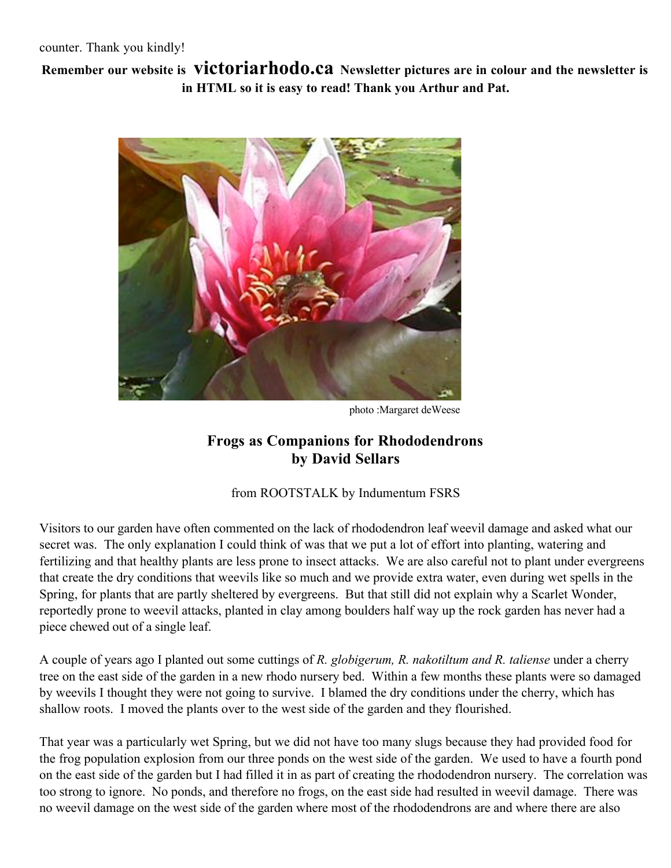**Remember our website is victoriarhodo.ca Newsletter pictures are in colour and the newsletter is in HTML so it is easy to read! Thank you Arthur and Pat.**



photo :Margaret deWeese

# **Frogs as Companions for Rhododendrons by David Sellars**

#### from ROOTSTALK by Indumentum FSRS

Visitors to our garden have often commented on the lack of rhododendron leaf weevil damage and asked what our secret was. The only explanation I could think of was that we put a lot of effort into planting, watering and fertilizing and that healthy plants are less prone to insect attacks. We are also careful not to plant under evergreens that create the dry conditions that weevils like so much and we provide extra water, even during wet spells in the Spring, for plants that are partly sheltered by evergreens. But that still did not explain why a Scarlet Wonder, reportedly prone to weevil attacks, planted in clay among boulders half way up the rock garden has never had a piece chewed out of a single leaf.

A couple of years ago I planted out some cuttings of *R. globigerum, R. nakotiltum and R. taliense* under a cherry tree on the east side of the garden in a new rhodo nursery bed. Within a few months these plants were so damaged by weevils I thought they were not going to survive. I blamed the dry conditions under the cherry, which has shallow roots. I moved the plants over to the west side of the garden and they flourished.

That year was a particularly wet Spring, but we did not have too many slugs because they had provided food for the frog population explosion from our three ponds on the west side of the garden. We used to have a fourth pond on the east side of the garden but I had filled it in as part of creating the rhododendron nursery. The correlation was too strong to ignore. No ponds, and therefore no frogs, on the east side had resulted in weevil damage. There was no weevil damage on the west side of the garden where most of the rhododendrons are and where there are also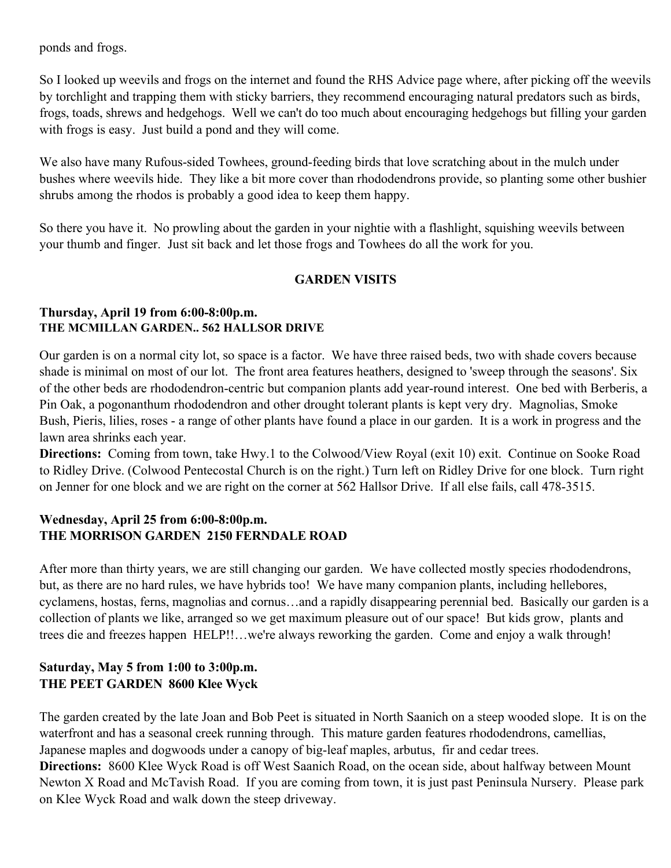ponds and frogs.

So I looked up weevils and frogs on the internet and found the RHS Advice page where, after picking off the weevils by torchlight and trapping them with sticky barriers, they recommend encouraging natural predators such as birds, frogs, toads, shrews and hedgehogs. Well we can't do too much about encouraging hedgehogs but filling your garden with frogs is easy. Just build a pond and they will come.

We also have many Rufous-sided Towhees, ground-feeding birds that love scratching about in the mulch under bushes where weevils hide. They like a bit more cover than rhododendrons provide, so planting some other bushier shrubs among the rhodos is probably a good idea to keep them happy.

So there you have it. No prowling about the garden in your nightie with a flashlight, squishing weevils between your thumb and finger. Just sit back and let those frogs and Towhees do all the work for you.

### **GARDEN VISITS**

#### **Thursday, April 19 from 6:00-8:00p.m. THE MCMILLAN GARDEN.. 562 HALLSOR DRIVE**

Our garden is on a normal city lot, so space is a factor. We have three raised beds, two with shade covers because shade is minimal on most of our lot. The front area features heathers, designed to 'sweep through the seasons'. Six of the other beds are rhododendron-centric but companion plants add year-round interest. One bed with Berberis, a Pin Oak, a pogonanthum rhododendron and other drought tolerant plants is kept very dry. Magnolias, Smoke Bush, Pieris, lilies, roses - a range of other plants have found a place in our garden. It is a work in progress and the lawn area shrinks each year.

**Directions:** Coming from town, take Hwy.1 to the Colwood/View Royal (exit 10) exit. Continue on Sooke Road to Ridley Drive. (Colwood Pentecostal Church is on the right.) Turn left on Ridley Drive for one block. Turn right on Jenner for one block and we are right on the corner at 562 Hallsor Drive. If all else fails, call 478-3515.

## **Wednesday, April 25 from 6:00-8:00p.m. THE MORRISON GARDEN 2150 FERNDALE ROAD**

After more than thirty years, we are still changing our garden. We have collected mostly species rhododendrons, but, as there are no hard rules, we have hybrids too! We have many companion plants, including hellebores, cyclamens, hostas, ferns, magnolias and cornus…and a rapidly disappearing perennial bed. Basically our garden is a collection of plants we like, arranged so we get maximum pleasure out of our space! But kids grow, plants and trees die and freezes happen HELP!!…we're always reworking the garden. Come and enjoy a walk through!

## **Saturday, May 5 from 1:00 to 3:00p.m. THE PEET GARDEN 8600 Klee Wyck**

The garden created by the late Joan and Bob Peet is situated in North Saanich on a steep wooded slope. It is on the waterfront and has a seasonal creek running through. This mature garden features rhododendrons, camellias, Japanese maples and dogwoods under a canopy of big-leaf maples, arbutus, fir and cedar trees. **Directions:** 8600 Klee Wyck Road is off West Saanich Road, on the ocean side, about halfway between Mount Newton X Road and McTavish Road. If you are coming from town, it is just past Peninsula Nursery. Please park on Klee Wyck Road and walk down the steep driveway.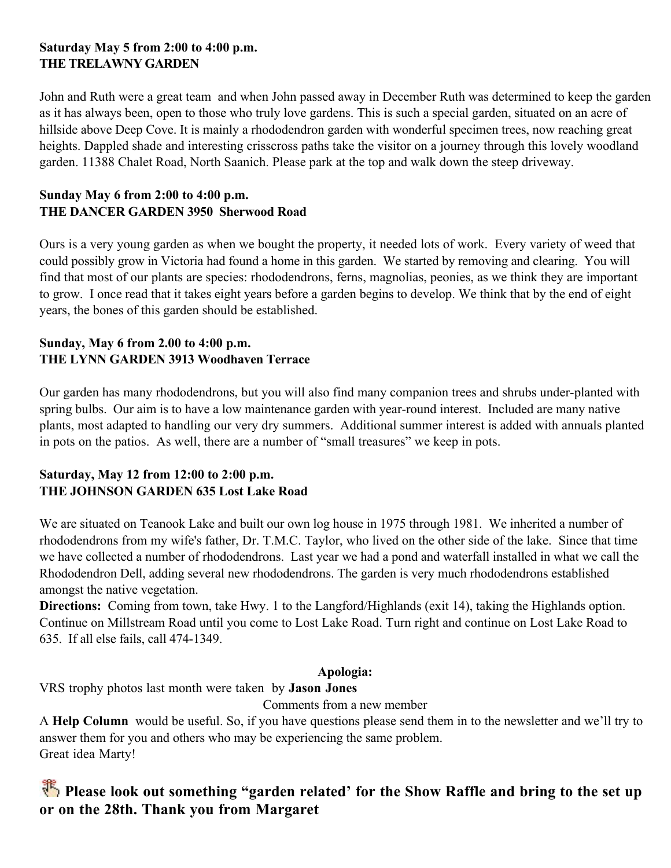## **Saturday May 5 from 2:00 to 4:00 p.m. THE TRELAWNY GARDEN**

John and Ruth were a great team and when John passed away in December Ruth was determined to keep the garden as it has always been, open to those who truly love gardens. This is such a special garden, situated on an acre of hillside above Deep Cove. It is mainly a rhododendron garden with wonderful specimen trees, now reaching great heights. Dappled shade and interesting crisscross paths take the visitor on a journey through this lovely woodland garden. 11388 Chalet Road, North Saanich. Please park at the top and walk down the steep driveway.

### **Sunday May 6 from 2:00 to 4:00 p.m. THE DANCER GARDEN 3950 Sherwood Road**

Ours is a very young garden as when we bought the property, it needed lots of work. Every variety of weed that could possibly grow in Victoria had found a home in this garden. We started by removing and clearing. You will find that most of our plants are species: rhododendrons, ferns, magnolias, peonies, as we think they are important to grow. I once read that it takes eight years before a garden begins to develop. We think that by the end of eight years, the bones of this garden should be established.

### **Sunday, May 6 from 2.00 to 4:00 p.m. THE LYNN GARDEN 3913 Woodhaven Terrace**

Our garden has many rhododendrons, but you will also find many companion trees and shrubs under-planted with spring bulbs. Our aim is to have a low maintenance garden with year-round interest. Included are many native plants, most adapted to handling our very dry summers. Additional summer interest is added with annuals planted in pots on the patios. As well, there are a number of "small treasures" we keep in pots.

### **Saturday, May 12 from 12:00 to 2:00 p.m. THE JOHNSON GARDEN 635 Lost Lake Road**

We are situated on Teanook Lake and built our own log house in 1975 through 1981. We inherited a number of rhododendrons from my wife's father, Dr. T.M.C. Taylor, who lived on the other side of the lake. Since that time we have collected a number of rhododendrons. Last year we had a pond and waterfall installed in what we call the Rhododendron Dell, adding several new rhododendrons. The garden is very much rhododendrons established amongst the native vegetation.

**Directions:** Coming from town, take Hwy. 1 to the Langford/Highlands (exit 14), taking the Highlands option. Continue on Millstream Road until you come to Lost Lake Road. Turn right and continue on Lost Lake Road to 635. If all else fails, call 474-1349.

## **Apologia:**

VRS trophy photos last month were taken by **Jason Jones**

Comments from a new member

A **Help Column** would be useful. So, if you have questions please send them in to the newsletter and we'll try to answer them for you and others who may be experiencing the same problem. Great idea Marty!

# **Please look out something "garden related' for the Show Raffle and bring to the set up or on the 28th. Thank you from Margaret**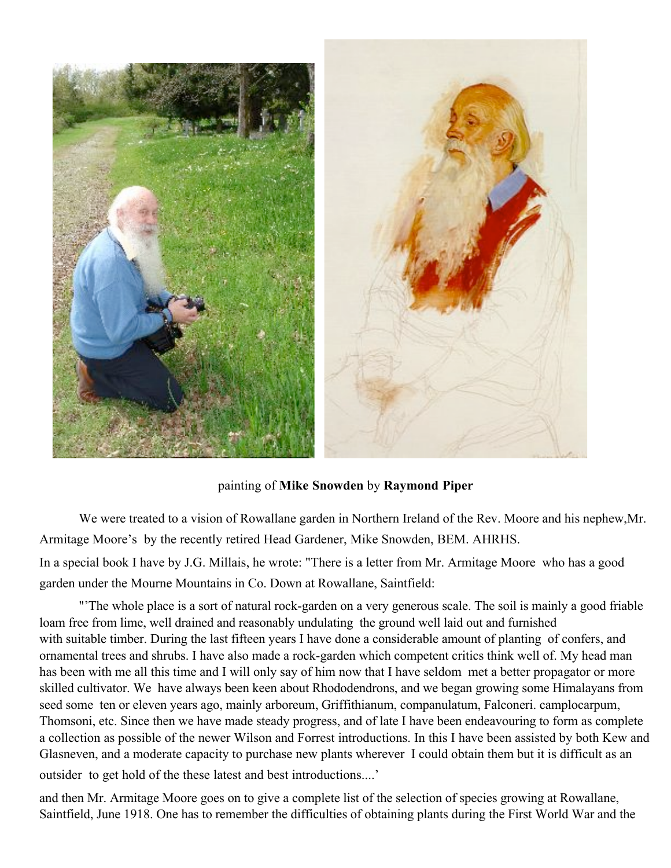

painting of **Mike Snowden** by **Raymond Piper**

We were treated to a vision of Rowallane garden in Northern Ireland of the Rev. Moore and his nephew,Mr. Armitage Moore's by the recently retired Head Gardener, Mike Snowden, BEM. AHRHS.

In a special book I have by J.G. Millais, he wrote: "There is a letter from Mr. Armitage Moore who has a good garden under the Mourne Mountains in Co. Down at Rowallane, Saintfield:

"'The whole place is a sort of natural rock-garden on a very generous scale. The soil is mainly a good friable loam free from lime, well drained and reasonably undulating the ground well laid out and furnished with suitable timber. During the last fifteen years I have done a considerable amount of planting of confers, and ornamental trees and shrubs. I have also made a rock-garden which competent critics think well of. My head man has been with me all this time and I will only say of him now that I have seldom met a better propagator or more skilled cultivator. We have always been keen about Rhododendrons, and we began growing some Himalayans from seed some ten or eleven years ago, mainly arboreum, Griffithianum, companulatum, Falconeri. camplocarpum, Thomsoni, etc. Since then we have made steady progress, and of late I have been endeavouring to form as complete a collection as possible of the newer Wilson and Forrest introductions. In this I have been assisted by both Kew and Glasneven, and a moderate capacity to purchase new plants wherever I could obtain them but it is difficult as an outsider to get hold of the these latest and best introductions....'

and then Mr. Armitage Moore goes on to give a complete list of the selection of species growing at Rowallane, Saintfield, June 1918. One has to remember the difficulties of obtaining plants during the First World War and the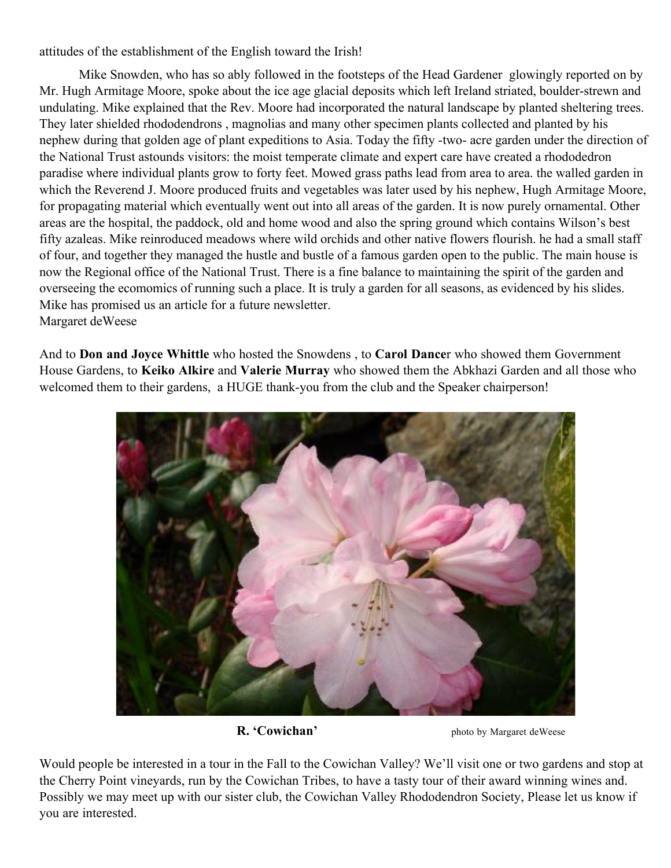attitudes of the establishment of the English toward the Irish!

Mike Snowden, who has so ably followed in the footsteps of the Head Gardener glowingly reported on by Mr. Hugh Armitage Moore, spoke about the ice age glacial deposits which left Ireland striated, boulder-strewn and undulating. Mike explained that the Rev. Moore had incorporated the natural landscape by planted sheltering trees. They later shielded rhododendrons , magnolias and many other specimen plants collected and planted by his nephew during that golden age of plant expeditions to Asia. Today the fifty -two- acre garden under the direction of the National Trust astounds visitors: the moist temperate climate and expert care have created a rhododedron paradise where individual plants grow to forty feet. Mowed grass paths lead from area to area. the walled garden in which the Reverend J. Moore produced fruits and vegetables was later used by his nephew, Hugh Armitage Moore, for propagating material which eventually went out into all areas of the garden. It is now purely ornamental. Other areas are the hospital, the paddock, old and home wood and also the spring ground which contains Wilson's best fifty azaleas. Mike reinroduced meadows where wild orchids and other native flowers flourish. he had a small staff of four, and together they managed the hustle and bustle of a famous garden open to the public. The main house is now the Regional office of the National Trust. There is a fine balance to maintaining the spirit of the garden and overseeing the ecomomics of running such a place. It is truly a garden for all seasons, as evidenced by his slides. Mike has promised us an article for a future newsletter. Margaret deWeese

And to **Don and Joyce Whittle** who hosted the Snowdens , to **Carol Dance**r who showed them Government House Gardens, to **Keiko Alkire** and **Valerie Murray** who showed them the Abkhazi Garden and all those who welcomed them to their gardens, a HUGE thank-you from the club and the Speaker chairperson!



**R. 'Cowichan'** photo by Margaret deWeese

Would people be interested in a tour in the Fall to the Cowichan Valley? We'll visit one or two gardens and stop at the Cherry Point vineyards, run by the Cowichan Tribes, to have a tasty tour of their award winning wines and. Possibly we may meet up with our sister club, the Cowichan Valley Rhododendron Society, Please let us know if you are interested.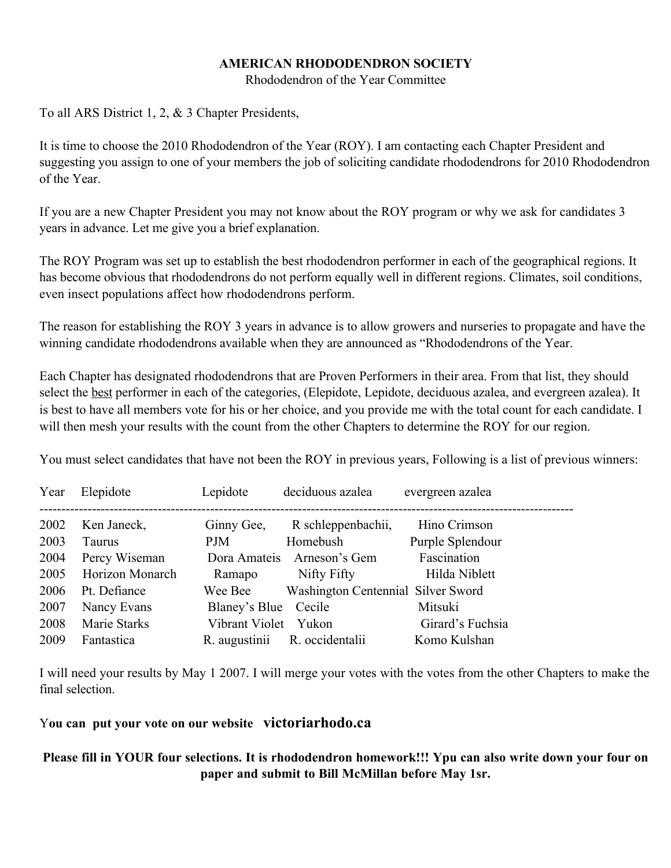#### **AMERICAN RHODODENDRON SOCIETY**

Rhododendron of the Year Committee

To all ARS District 1, 2, & 3 Chapter Presidents,

It is time to choose the 2010 Rhododendron of the Year (ROY). I am contacting each Chapter President and suggesting you assign to one of your members the job of soliciting candidate rhododendrons for 2010 Rhododendron of the Year.

If you are a new Chapter President you may not know about the ROY program or why we ask for candidates 3 years in advance. Let me give you a brief explanation.

The ROY Program was set up to establish the best rhododendron performer in each of the geographical regions. It has become obvious that rhododendrons do not perform equally well in different regions. Climates, soil conditions, even insect populations affect how rhododendrons perform.

The reason for establishing the ROY 3 years in advance is to allow growers and nurseries to propagate and have the winning candidate rhododendrons available when they are announced as "Rhododendrons of the Year.

Each Chapter has designated rhododendrons that are Proven Performers in their area. From that list, they should select the best performer in each of the categories, (Elepidote, Lepidote, deciduous azalea, and evergreen azalea). It is best to have all members vote for his or her choice, and you provide me with the total count for each candidate. I will then mesh your results with the count from the other Chapters to determine the ROY for our region.

You must select candidates that have not been the ROY in previous years, Following is a list of previous winners:

| Year | Elepidote       | Lepidote       | deciduous azalea                   | evergreen azalea |
|------|-----------------|----------------|------------------------------------|------------------|
| 2002 | Ken Janeck,     | Ginny Gee,     | R schleppenbachii,                 | Hino Crimson     |
| 2003 | Taurus          | <b>PJM</b>     | Homebush                           | Purple Splendour |
| 2004 | Percy Wiseman   | Dora Amateis   | Arneson's Gem                      | Fascination      |
| 2005 | Horizon Monarch | Ramapo         | Nifty Fifty                        | Hilda Niblett    |
| 2006 | Pt. Defiance    | Wee Bee        | Washington Centennial Silver Sword |                  |
| 2007 | Nancy Evans     | Blaney's Blue  | Cecile                             | Mitsuki          |
| 2008 | Marie Starks    | Vibrant Violet | Yukon                              | Girard's Fuchsia |
| 2009 | Fantastica      | R. augustinii  | R. occidentalii                    | Komo Kulshan     |

I will need your results by May 1 2007. I will merge your votes with the votes from the other Chapters to make the final selection.

Y**ou can put your vote on our website victoriarhodo.ca**

## Please fill in YOUR four selections. It is rhododendron homework!!! Ypu can also write down your four on **paper and submit to Bill McMillan before May 1sr.**